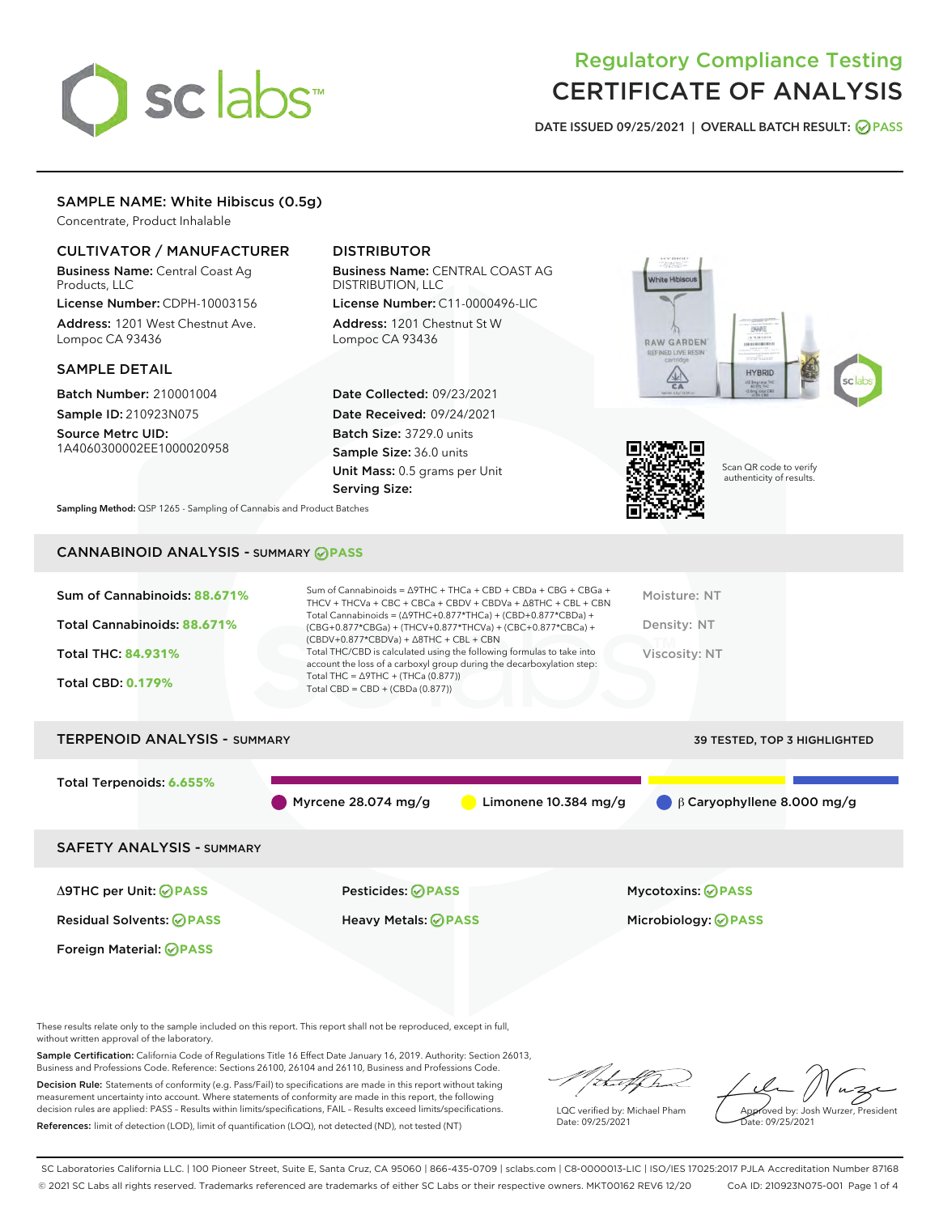# sclabs<sup>\*</sup>

# Regulatory Compliance Testing CERTIFICATE OF ANALYSIS

DATE ISSUED 09/25/2021 | OVERALL BATCH RESULT: @ PASS

#### SAMPLE NAME: White Hibiscus (0.5g)

Concentrate, Product Inhalable

#### CULTIVATOR / MANUFACTURER

Business Name: Central Coast Ag Products, LLC

License Number: CDPH-10003156 Address: 1201 West Chestnut Ave. Lompoc CA 93436

#### SAMPLE DETAIL

Batch Number: 210001004 Sample ID: 210923N075

Source Metrc UID: 1A4060300002EE1000020958

### DISTRIBUTOR

Business Name: CENTRAL COAST AG DISTRIBUTION, LLC License Number: C11-0000496-LIC

Address: 1201 Chestnut St W Lompoc CA 93436

Date Collected: 09/23/2021 Date Received: 09/24/2021 Batch Size: 3729.0 units Sample Size: 36.0 units Unit Mass: 0.5 grams per Unit Serving Size:





Scan QR code to verify authenticity of results.

Sampling Method: QSP 1265 - Sampling of Cannabis and Product Batches

## CANNABINOID ANALYSIS - SUMMARY **PASS**



Total Terpenoids: **6.655%**

Myrcene 28.074 mg/g Limonene 10.384 mg/g β Caryophyllene 8.000 mg/g

SAFETY ANALYSIS - SUMMARY

Δ9THC per Unit: **PASS** Pesticides: **PASS** Mycotoxins: **PASS**

Foreign Material: **PASS**

Residual Solvents: **PASS** Heavy Metals: **PASS** Microbiology: **PASS**

These results relate only to the sample included on this report. This report shall not be reproduced, except in full, without written approval of the laboratory.

Sample Certification: California Code of Regulations Title 16 Effect Date January 16, 2019. Authority: Section 26013, Business and Professions Code. Reference: Sections 26100, 26104 and 26110, Business and Professions Code.

Decision Rule: Statements of conformity (e.g. Pass/Fail) to specifications are made in this report without taking measurement uncertainty into account. Where statements of conformity are made in this report, the following decision rules are applied: PASS – Results within limits/specifications, FAIL – Results exceed limits/specifications. References: limit of detection (LOD), limit of quantification (LOQ), not detected (ND), not tested (NT)

that f h

LQC verified by: Michael Pham Date: 09/25/2021

Approved by: Josh Wurzer, President ate: 09/25/2021

SC Laboratories California LLC. | 100 Pioneer Street, Suite E, Santa Cruz, CA 95060 | 866-435-0709 | sclabs.com | C8-0000013-LIC | ISO/IES 17025:2017 PJLA Accreditation Number 87168 © 2021 SC Labs all rights reserved. Trademarks referenced are trademarks of either SC Labs or their respective owners. MKT00162 REV6 12/20 CoA ID: 210923N075-001 Page 1 of 4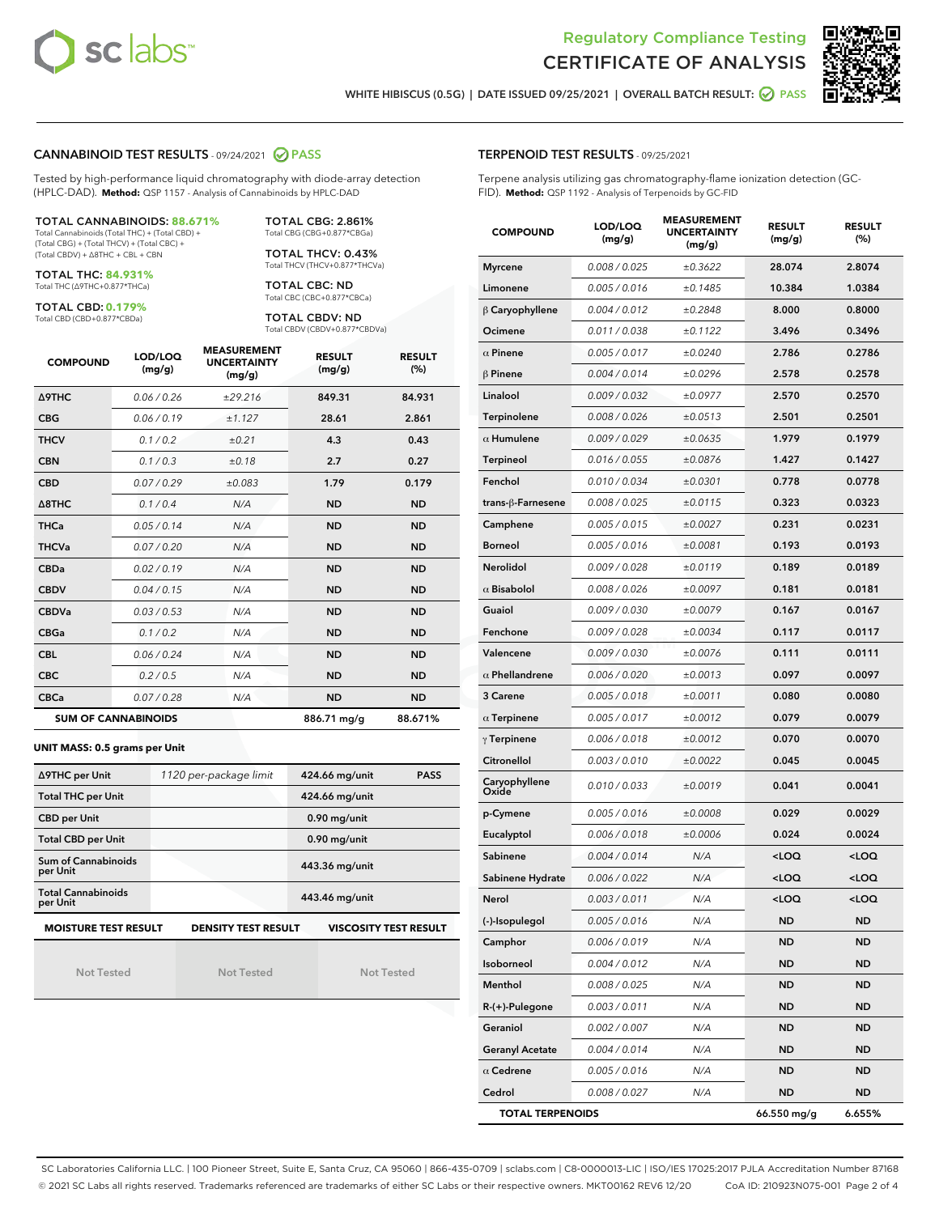



WHITE HIBISCUS (0.5G) | DATE ISSUED 09/25/2021 | OVERALL BATCH RESULT:  $\bigcirc$  PASS

#### CANNABINOID TEST RESULTS - 09/24/2021 2 PASS

Tested by high-performance liquid chromatography with diode-array detection (HPLC-DAD). **Method:** QSP 1157 - Analysis of Cannabinoids by HPLC-DAD

#### TOTAL CANNABINOIDS: **88.671%**

Total Cannabinoids (Total THC) + (Total CBD) + (Total CBG) + (Total THCV) + (Total CBC) + (Total CBDV) + ∆8THC + CBL + CBN

TOTAL THC: **84.931%** Total THC (∆9THC+0.877\*THCa)

TOTAL CBD: **0.179%**

Total CBD (CBD+0.877\*CBDa)

TOTAL CBG: 2.861% Total CBG (CBG+0.877\*CBGa)

TOTAL THCV: 0.43% Total THCV (THCV+0.877\*THCVa)

TOTAL CBC: ND Total CBC (CBC+0.877\*CBCa)

TOTAL CBDV: ND Total CBDV (CBDV+0.877\*CBDVa)

| <b>COMPOUND</b>            | LOD/LOQ<br>(mg/g) | <b>MEASUREMENT</b><br><b>UNCERTAINTY</b><br>(mg/g) | <b>RESULT</b><br>(mg/g) | <b>RESULT</b><br>(%) |
|----------------------------|-------------------|----------------------------------------------------|-------------------------|----------------------|
| <b>A9THC</b>               | 0.06/0.26         | ±29.216                                            | 849.31                  | 84.931               |
| <b>CBG</b>                 | 0.06/0.19         | ±1.127                                             | 28.61                   | 2.861                |
| <b>THCV</b>                | 0.1 / 0.2         | ±0.21                                              | 4.3                     | 0.43                 |
| <b>CBN</b>                 | 0.1/0.3           | ±0.18                                              | 2.7                     | 0.27                 |
| <b>CBD</b>                 | 0.07/0.29         | ±0.083                                             | 1.79                    | 0.179                |
| $\triangle$ 8THC           | 0.1/0.4           | N/A                                                | <b>ND</b>               | <b>ND</b>            |
| <b>THCa</b>                | 0.05/0.14         | N/A                                                | <b>ND</b>               | <b>ND</b>            |
| <b>THCVa</b>               | 0.07/0.20         | N/A                                                | <b>ND</b>               | <b>ND</b>            |
| <b>CBDa</b>                | 0.02/0.19         | N/A                                                | <b>ND</b>               | <b>ND</b>            |
| <b>CBDV</b>                | 0.04 / 0.15       | N/A                                                | <b>ND</b>               | <b>ND</b>            |
| <b>CBDVa</b>               | 0.03/0.53         | N/A                                                | <b>ND</b>               | <b>ND</b>            |
| <b>CBGa</b>                | 0.1 / 0.2         | N/A                                                | <b>ND</b>               | <b>ND</b>            |
| <b>CBL</b>                 | 0.06 / 0.24       | N/A                                                | <b>ND</b>               | <b>ND</b>            |
| <b>CBC</b>                 | 0.2 / 0.5         | N/A                                                | <b>ND</b>               | <b>ND</b>            |
| <b>CBCa</b>                | 0.07 / 0.28       | N/A                                                | <b>ND</b>               | <b>ND</b>            |
| <b>SUM OF CANNABINOIDS</b> |                   |                                                    | 886.71 mg/g             | 88.671%              |

#### **UNIT MASS: 0.5 grams per Unit**

| ∆9THC per Unit                        | 1120 per-package limit     | 424.66 mg/unit<br><b>PASS</b> |
|---------------------------------------|----------------------------|-------------------------------|
| <b>Total THC per Unit</b>             |                            | 424.66 mg/unit                |
| <b>CBD per Unit</b>                   |                            | $0.90$ mg/unit                |
| <b>Total CBD per Unit</b>             |                            | $0.90$ mg/unit                |
| Sum of Cannabinoids<br>per Unit       |                            | 443.36 mg/unit                |
| <b>Total Cannabinoids</b><br>per Unit |                            | 443.46 mg/unit                |
| <b>MOISTURE TEST RESULT</b>           | <b>DENSITY TEST RESULT</b> | <b>VISCOSITY TEST RESULT</b>  |

Not Tested

Not Tested

Not Tested

#### TERPENOID TEST RESULTS - 09/25/2021

Terpene analysis utilizing gas chromatography-flame ionization detection (GC-FID). **Method:** QSP 1192 - Analysis of Terpenoids by GC-FID

| <b>COMPOUND</b>         | LOD/LOQ<br>(mg/g) | <b>MEASUREMENT</b><br><b>UNCERTAINTY</b><br>(mg/g) | <b>RESULT</b><br>(mg/g)                          | <b>RESULT</b><br>$(\%)$ |
|-------------------------|-------------------|----------------------------------------------------|--------------------------------------------------|-------------------------|
| <b>Myrcene</b>          | 0.008 / 0.025     | ±0.3622                                            | 28.074                                           | 2.8074                  |
| Limonene                | 0.005 / 0.016     | ±0.1485                                            | 10.384                                           | 1.0384                  |
| $\beta$ Caryophyllene   | 0.004 / 0.012     | ±0.2848                                            | 8.000                                            | 0.8000                  |
| Ocimene                 | 0.011 / 0.038     | ±0.1122                                            | 3.496                                            | 0.3496                  |
| $\alpha$ Pinene         | 0.005 / 0.017     | ±0.0240                                            | 2.786                                            | 0.2786                  |
| $\beta$ Pinene          | 0.004 / 0.014     | ±0.0296                                            | 2.578                                            | 0.2578                  |
| Linalool                | 0.009 / 0.032     | ±0.0977                                            | 2.570                                            | 0.2570                  |
| Terpinolene             | 0.008 / 0.026     | ±0.0513                                            | 2.501                                            | 0.2501                  |
| $\alpha$ Humulene       | 0.009/0.029       | ±0.0635                                            | 1.979                                            | 0.1979                  |
| Terpineol               | 0.016 / 0.055     | ±0.0876                                            | 1.427                                            | 0.1427                  |
| Fenchol                 | 0.010 / 0.034     | ±0.0301                                            | 0.778                                            | 0.0778                  |
| trans-ß-Farnesene       | 0.008 / 0.025     | ±0.0115                                            | 0.323                                            | 0.0323                  |
| Camphene                | 0.005 / 0.015     | ±0.0027                                            | 0.231                                            | 0.0231                  |
| <b>Borneol</b>          | 0.005 / 0.016     | ±0.0081                                            | 0.193                                            | 0.0193                  |
| Nerolidol               | 0.009 / 0.028     | ±0.0119                                            | 0.189                                            | 0.0189                  |
| $\alpha$ Bisabolol      | 0.008 / 0.026     | ±0.0097                                            | 0.181                                            | 0.0181                  |
| Guaiol                  | 0.009 / 0.030     | ±0.0079                                            | 0.167                                            | 0.0167                  |
| Fenchone                | 0.009 / 0.028     | ±0.0034                                            | 0.117                                            | 0.0117                  |
| Valencene               | 0.009 / 0.030     | ±0.0076                                            | 0.111                                            | 0.0111                  |
| $\alpha$ Phellandrene   | 0.006 / 0.020     | ±0.0013                                            | 0.097                                            | 0.0097                  |
| 3 Carene                | 0.005 / 0.018     | ±0.0011                                            | 0.080                                            | 0.0080                  |
| $\alpha$ Terpinene      | 0.005 / 0.017     | ±0.0012                                            | 0.079                                            | 0.0079                  |
| $\gamma$ Terpinene      | 0.006 / 0.018     | ±0.0012                                            | 0.070                                            | 0.0070                  |
| Citronellol             | 0.003 / 0.010     | ±0.0022                                            | 0.045                                            | 0.0045                  |
| Caryophyllene<br>Oxide  | 0.010 / 0.033     | ±0.0019                                            | 0.041                                            | 0.0041                  |
| p-Cymene                | 0.005 / 0.016     | ±0.0008                                            | 0.029                                            | 0.0029                  |
| Eucalyptol              | 0.006 / 0.018     | ±0.0006                                            | 0.024                                            | 0.0024                  |
| Sabinene                | 0.004 / 0.014     | N/A                                                | <loq< th=""><th><loq< th=""></loq<></th></loq<>  | <loq< th=""></loq<>     |
| Sabinene Hydrate        | 0.006 / 0.022     | N/A                                                | <loq< th=""><th><loq< th=""></loq<></th></loq<>  | <loq< th=""></loq<>     |
| Nerol                   | 0.003 / 0.011     | N/A                                                | <loq< th=""><th><math>&lt;</math>LOQ</th></loq<> | $<$ LOQ                 |
| (-)-Isopulegol          | 0.005 / 0.016     | N/A                                                | ND                                               | ND                      |
| Camphor                 | 0.006 / 0.019     | N/A                                                | ND                                               | ND                      |
| Isoborneol              | 0.004 / 0.012     | N/A                                                | <b>ND</b>                                        | ND                      |
| Menthol                 | 0.008 / 0.025     | N/A                                                | <b>ND</b>                                        | ND                      |
| $R-(+)$ -Pulegone       | 0.003 / 0.011     | N/A                                                | ND                                               | <b>ND</b>               |
| Geraniol                | 0.002 / 0.007     | N/A                                                | <b>ND</b>                                        | ND                      |
| <b>Geranyl Acetate</b>  | 0.004 / 0.014     | N/A                                                | <b>ND</b>                                        | ND                      |
| $\alpha$ Cedrene        | 0.005 / 0.016     | N/A                                                | ND                                               | ND                      |
| Cedrol                  | 0.008 / 0.027     | N/A                                                | <b>ND</b>                                        | <b>ND</b>               |
| <b>TOTAL TERPENOIDS</b> |                   |                                                    | 66.550 mg/g                                      | 6.655%                  |

SC Laboratories California LLC. | 100 Pioneer Street, Suite E, Santa Cruz, CA 95060 | 866-435-0709 | sclabs.com | C8-0000013-LIC | ISO/IES 17025:2017 PJLA Accreditation Number 87168 © 2021 SC Labs all rights reserved. Trademarks referenced are trademarks of either SC Labs or their respective owners. MKT00162 REV6 12/20 CoA ID: 210923N075-001 Page 2 of 4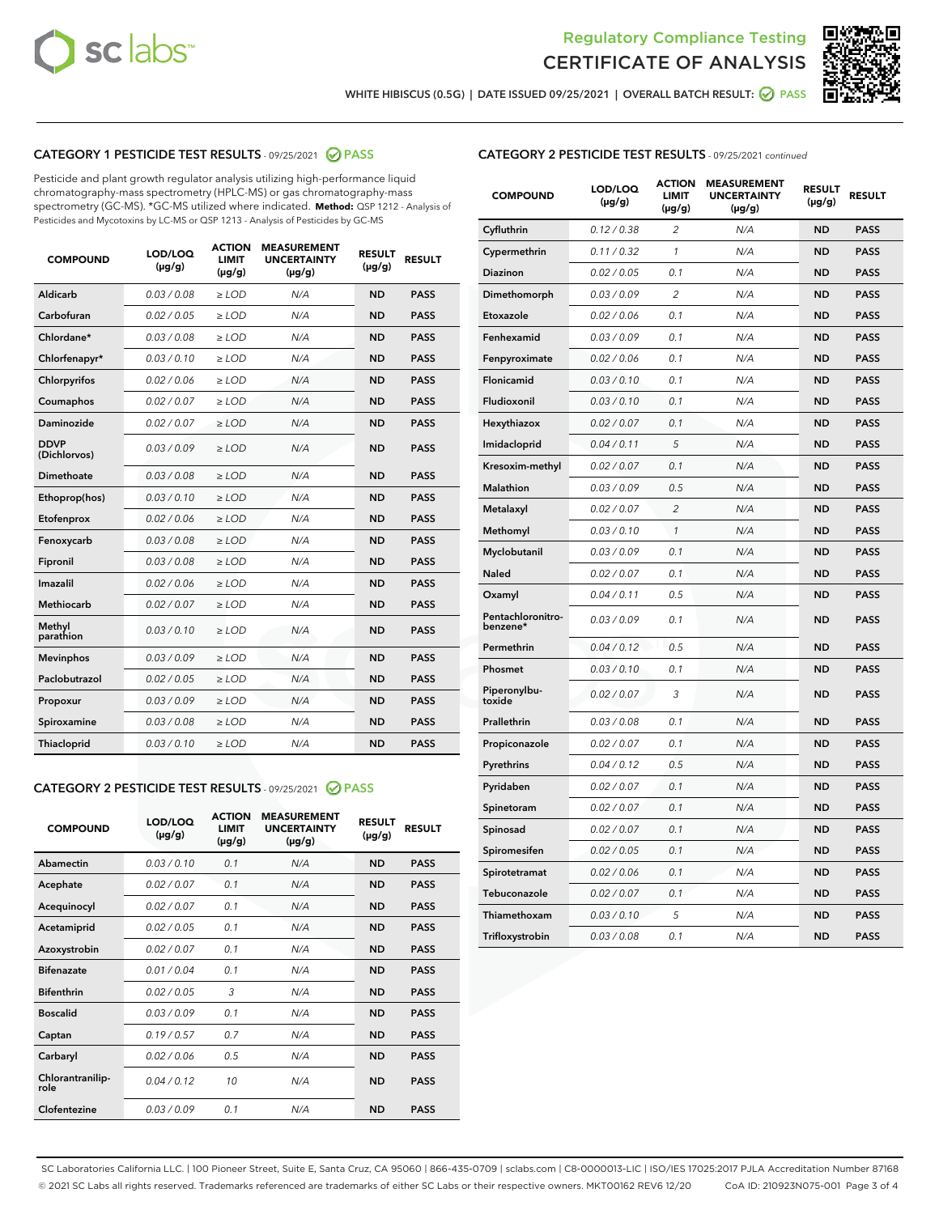



WHITE HIBISCUS (0.5G) | DATE ISSUED 09/25/2021 | OVERALL BATCH RESULT: @ PASS

#### CATEGORY 1 PESTICIDE TEST RESULTS - 09/25/2021 2 PASS

Pesticide and plant growth regulator analysis utilizing high-performance liquid chromatography-mass spectrometry (HPLC-MS) or gas chromatography-mass spectrometry (GC-MS). \*GC-MS utilized where indicated. **Method:** QSP 1212 - Analysis of Pesticides and Mycotoxins by LC-MS or QSP 1213 - Analysis of Pesticides by GC-MS

| <b>COMPOUND</b>             | LOD/LOQ<br>$(\mu g/g)$ | <b>ACTION</b><br><b>LIMIT</b><br>$(\mu g/g)$ | <b>MEASUREMENT</b><br><b>UNCERTAINTY</b><br>$(\mu g/g)$ | <b>RESULT</b><br>$(\mu g/g)$ | <b>RESULT</b> |
|-----------------------------|------------------------|----------------------------------------------|---------------------------------------------------------|------------------------------|---------------|
| Aldicarb                    | 0.03 / 0.08            | $\ge$ LOD                                    | N/A                                                     | <b>ND</b>                    | <b>PASS</b>   |
| Carbofuran                  | 0.02 / 0.05            | $\ge$ LOD                                    | N/A                                                     | <b>ND</b>                    | <b>PASS</b>   |
| Chlordane*                  | 0.03 / 0.08            | $\ge$ LOD                                    | N/A                                                     | <b>ND</b>                    | <b>PASS</b>   |
| Chlorfenapyr*               | 0.03/0.10              | $\ge$ LOD                                    | N/A                                                     | <b>ND</b>                    | <b>PASS</b>   |
| Chlorpyrifos                | 0.02 / 0.06            | $\ge$ LOD                                    | N/A                                                     | <b>ND</b>                    | <b>PASS</b>   |
| Coumaphos                   | 0.02 / 0.07            | $\ge$ LOD                                    | N/A                                                     | <b>ND</b>                    | <b>PASS</b>   |
| Daminozide                  | 0.02/0.07              | $>$ LOD                                      | N/A                                                     | <b>ND</b>                    | <b>PASS</b>   |
| <b>DDVP</b><br>(Dichlorvos) | 0.03/0.09              | $>$ LOD                                      | N/A                                                     | <b>ND</b>                    | <b>PASS</b>   |
| Dimethoate                  | 0.03 / 0.08            | $\ge$ LOD                                    | N/A                                                     | <b>ND</b>                    | <b>PASS</b>   |
| Ethoprop(hos)               | 0.03/0.10              | $>$ LOD                                      | N/A                                                     | <b>ND</b>                    | <b>PASS</b>   |
| Etofenprox                  | 0.02 / 0.06            | $\ge$ LOD                                    | N/A                                                     | <b>ND</b>                    | <b>PASS</b>   |
| Fenoxycarb                  | 0.03 / 0.08            | $\ge$ LOD                                    | N/A                                                     | <b>ND</b>                    | <b>PASS</b>   |
| Fipronil                    | 0.03/0.08              | $>$ LOD                                      | N/A                                                     | <b>ND</b>                    | <b>PASS</b>   |
| Imazalil                    | 0.02 / 0.06            | $\ge$ LOD                                    | N/A                                                     | <b>ND</b>                    | <b>PASS</b>   |
| Methiocarb                  | 0.02 / 0.07            | $\ge$ LOD                                    | N/A                                                     | <b>ND</b>                    | <b>PASS</b>   |
| Methyl<br>parathion         | 0.03/0.10              | $\ge$ LOD                                    | N/A                                                     | <b>ND</b>                    | <b>PASS</b>   |
| <b>Mevinphos</b>            | 0.03/0.09              | $\ge$ LOD                                    | N/A                                                     | <b>ND</b>                    | <b>PASS</b>   |
| Paclobutrazol               | 0.02 / 0.05            | $\ge$ LOD                                    | N/A                                                     | <b>ND</b>                    | <b>PASS</b>   |
| Propoxur                    | 0.03 / 0.09            | $\ge$ LOD                                    | N/A                                                     | <b>ND</b>                    | <b>PASS</b>   |
| Spiroxamine                 | 0.03 / 0.08            | $\ge$ LOD                                    | N/A                                                     | <b>ND</b>                    | <b>PASS</b>   |
| <b>Thiacloprid</b>          | 0.03/0.10              | $\ge$ LOD                                    | N/A                                                     | <b>ND</b>                    | <b>PASS</b>   |

#### CATEGORY 2 PESTICIDE TEST RESULTS - 09/25/2021 @ PASS

| <b>COMPOUND</b>          | LOD/LOQ<br>$(\mu g/g)$ | <b>ACTION</b><br><b>LIMIT</b><br>$(\mu g/g)$ | <b>MEASUREMENT</b><br><b>UNCERTAINTY</b><br>$(\mu g/g)$ | <b>RESULT</b><br>$(\mu g/g)$ | <b>RESULT</b> |
|--------------------------|------------------------|----------------------------------------------|---------------------------------------------------------|------------------------------|---------------|
| Abamectin                | 0.03/0.10              | 0.1                                          | N/A                                                     | <b>ND</b>                    | <b>PASS</b>   |
| Acephate                 | 0.02/0.07              | 0.1                                          | N/A                                                     | <b>ND</b>                    | <b>PASS</b>   |
| Acequinocyl              | 0.02/0.07              | 0.1                                          | N/A                                                     | <b>ND</b>                    | <b>PASS</b>   |
| Acetamiprid              | 0.02/0.05              | 0.1                                          | N/A                                                     | <b>ND</b>                    | <b>PASS</b>   |
| Azoxystrobin             | 0 02 / 0 07            | 0.1                                          | N/A                                                     | <b>ND</b>                    | <b>PASS</b>   |
| <b>Bifenazate</b>        | 0.01/0.04              | 0.1                                          | N/A                                                     | <b>ND</b>                    | <b>PASS</b>   |
| <b>Bifenthrin</b>        | 0.02 / 0.05            | 3                                            | N/A                                                     | <b>ND</b>                    | <b>PASS</b>   |
| <b>Boscalid</b>          | 0.03/0.09              | 0.1                                          | N/A                                                     | <b>ND</b>                    | <b>PASS</b>   |
| Captan                   | 0.19/0.57              | 0.7                                          | N/A                                                     | <b>ND</b>                    | <b>PASS</b>   |
| Carbaryl                 | 0.02/0.06              | 0.5                                          | N/A                                                     | <b>ND</b>                    | <b>PASS</b>   |
| Chlorantranilip-<br>role | 0.04/0.12              | 10                                           | N/A                                                     | <b>ND</b>                    | <b>PASS</b>   |
| Clofentezine             | 0.03/0.09              | 0.1                                          | N/A                                                     | <b>ND</b>                    | <b>PASS</b>   |

#### CATEGORY 2 PESTICIDE TEST RESULTS - 09/25/2021 continued

| <b>COMPOUND</b>               | LOD/LOQ<br>(µg/g) | <b>ACTION</b><br><b>LIMIT</b><br>$(\mu g/g)$ | <b>MEASUREMENT</b><br><b>UNCERTAINTY</b><br>$(\mu g/g)$ | <b>RESULT</b><br>(µg/g) | <b>RESULT</b> |
|-------------------------------|-------------------|----------------------------------------------|---------------------------------------------------------|-------------------------|---------------|
| Cyfluthrin                    | 0.12 / 0.38       | $\overline{c}$                               | N/A                                                     | <b>ND</b>               | <b>PASS</b>   |
| Cypermethrin                  | 0.11 / 0.32       | 1                                            | N/A                                                     | ND                      | <b>PASS</b>   |
| Diazinon                      | 0.02 / 0.05       | 0.1                                          | N/A                                                     | ND                      | <b>PASS</b>   |
| Dimethomorph                  | 0.03 / 0.09       | 2                                            | N/A                                                     | ND                      | <b>PASS</b>   |
| Etoxazole                     | 0.02 / 0.06       | 0.1                                          | N/A                                                     | <b>ND</b>               | <b>PASS</b>   |
| Fenhexamid                    | 0.03 / 0.09       | 0.1                                          | N/A                                                     | <b>ND</b>               | <b>PASS</b>   |
| Fenpyroximate                 | 0.02 / 0.06       | 0.1                                          | N/A                                                     | ND                      | <b>PASS</b>   |
| Flonicamid                    | 0.03 / 0.10       | 0.1                                          | N/A                                                     | ND                      | <b>PASS</b>   |
| Fludioxonil                   | 0.03 / 0.10       | 0.1                                          | N/A                                                     | <b>ND</b>               | <b>PASS</b>   |
| Hexythiazox                   | 0.02 / 0.07       | 0.1                                          | N/A                                                     | ND                      | <b>PASS</b>   |
| Imidacloprid                  | 0.04 / 0.11       | 5                                            | N/A                                                     | ND                      | <b>PASS</b>   |
| Kresoxim-methyl               | 0.02 / 0.07       | 0.1                                          | N/A                                                     | <b>ND</b>               | <b>PASS</b>   |
| <b>Malathion</b>              | 0.03 / 0.09       | 0.5                                          | N/A                                                     | ND                      | <b>PASS</b>   |
| Metalaxyl                     | 0.02 / 0.07       | $\overline{c}$                               | N/A                                                     | ND                      | <b>PASS</b>   |
| Methomyl                      | 0.03 / 0.10       | 1                                            | N/A                                                     | <b>ND</b>               | <b>PASS</b>   |
| Myclobutanil                  | 0.03 / 0.09       | 0.1                                          | N/A                                                     | ND                      | <b>PASS</b>   |
| Naled                         | 0.02 / 0.07       | 0.1                                          | N/A                                                     | ND                      | <b>PASS</b>   |
| Oxamyl                        | 0.04 / 0.11       | 0.5                                          | N/A                                                     | ND                      | <b>PASS</b>   |
| Pentachloronitro-<br>benzene* | 0.03 / 0.09       | 0.1                                          | N/A                                                     | ND                      | <b>PASS</b>   |
| Permethrin                    | 0.04 / 0.12       | 0.5                                          | N/A                                                     | <b>ND</b>               | <b>PASS</b>   |
| Phosmet                       | 0.03 / 0.10       | 0.1                                          | N/A                                                     | <b>ND</b>               | <b>PASS</b>   |
| Piperonylbu-<br>toxide        | 0.02 / 0.07       | 3                                            | N/A                                                     | ND                      | <b>PASS</b>   |
| Prallethrin                   | 0.03 / 0.08       | 0.1                                          | N/A                                                     | <b>ND</b>               | <b>PASS</b>   |
| Propiconazole                 | 0.02 / 0.07       | 0.1                                          | N/A                                                     | ND                      | <b>PASS</b>   |
| Pyrethrins                    | 0.04 / 0.12       | 0.5                                          | N/A                                                     | ND                      | <b>PASS</b>   |
| Pyridaben                     | 0.02 / 0.07       | 0.1                                          | N/A                                                     | ND                      | <b>PASS</b>   |
| Spinetoram                    | 0.02 / 0.07       | 0.1                                          | N/A                                                     | ND                      | <b>PASS</b>   |
| Spinosad                      | 0.02 / 0.07       | 0.1                                          | N/A                                                     | ND                      | <b>PASS</b>   |
| Spiromesifen                  | 0.02 / 0.05       | 0.1                                          | N/A                                                     | <b>ND</b>               | <b>PASS</b>   |
| Spirotetramat                 | 0.02 / 0.06       | 0.1                                          | N/A                                                     | ND                      | <b>PASS</b>   |
| Tebuconazole                  | 0.02 / 0.07       | 0.1                                          | N/A                                                     | ND                      | <b>PASS</b>   |
| Thiamethoxam                  | 0.03 / 0.10       | 5                                            | N/A                                                     | <b>ND</b>               | <b>PASS</b>   |
| Trifloxystrobin               | 0.03 / 0.08       | 0.1                                          | N/A                                                     | <b>ND</b>               | <b>PASS</b>   |

SC Laboratories California LLC. | 100 Pioneer Street, Suite E, Santa Cruz, CA 95060 | 866-435-0709 | sclabs.com | C8-0000013-LIC | ISO/IES 17025:2017 PJLA Accreditation Number 87168 © 2021 SC Labs all rights reserved. Trademarks referenced are trademarks of either SC Labs or their respective owners. MKT00162 REV6 12/20 CoA ID: 210923N075-001 Page 3 of 4